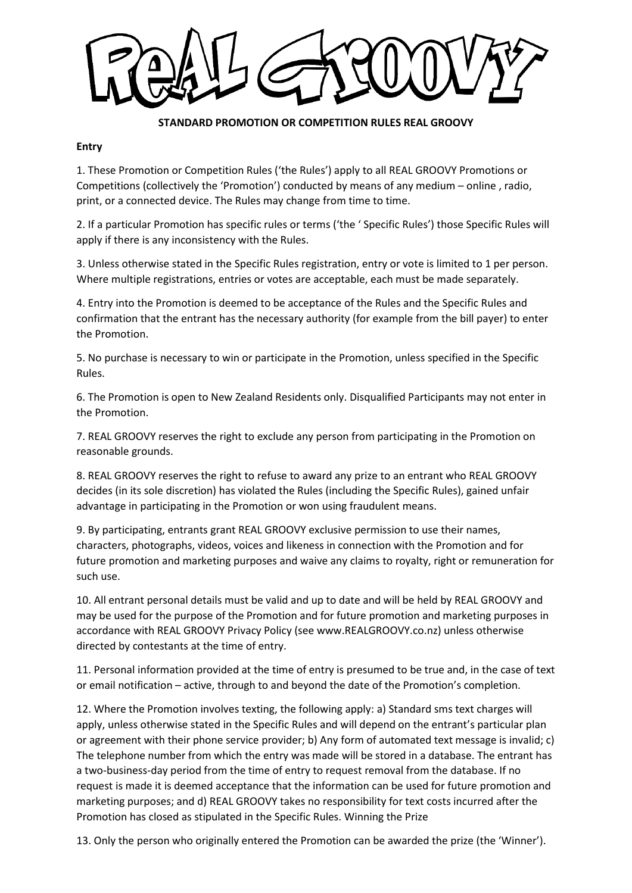## **STANDARD PROMOTION OR COMPETITION RULES REAL GROOVY**

## **Entry**

1. These Promotion or Competition Rules ('the Rules') apply to all REAL GROOVY Promotions or Competitions (collectively the 'Promotion') conducted by means of any medium – online , radio, print, or a connected device. The Rules may change from time to time.

2. If a particular Promotion has specific rules or terms ('the ' Specific Rules') those Specific Rules will apply if there is any inconsistency with the Rules.

3. Unless otherwise stated in the Specific Rules registration, entry or vote is limited to 1 per person. Where multiple registrations, entries or votes are acceptable, each must be made separately.

4. Entry into the Promotion is deemed to be acceptance of the Rules and the Specific Rules and confirmation that the entrant has the necessary authority (for example from the bill payer) to enter the Promotion.

5. No purchase is necessary to win or participate in the Promotion, unless specified in the Specific Rules.

6. The Promotion is open to New Zealand Residents only. Disqualified Participants may not enter in the Promotion.

7. REAL GROOVY reserves the right to exclude any person from participating in the Promotion on reasonable grounds.

8. REAL GROOVY reserves the right to refuse to award any prize to an entrant who REAL GROOVY decides (in its sole discretion) has violated the Rules (including the Specific Rules), gained unfair advantage in participating in the Promotion or won using fraudulent means.

9. By participating, entrants grant REAL GROOVY exclusive permission to use their names, characters, photographs, videos, voices and likeness in connection with the Promotion and for future promotion and marketing purposes and waive any claims to royalty, right or remuneration for such use.

10. All entrant personal details must be valid and up to date and will be held by REAL GROOVY and may be used for the purpose of the Promotion and for future promotion and marketing purposes in accordance with REAL GROOVY Privacy Policy (see www.REALGROOVY.co.nz) unless otherwise directed by contestants at the time of entry.

11. Personal information provided at the time of entry is presumed to be true and, in the case of text or email notification – active, through to and beyond the date of the Promotion's completion.

12. Where the Promotion involves texting, the following apply: a) Standard sms text charges will apply, unless otherwise stated in the Specific Rules and will depend on the entrant's particular plan or agreement with their phone service provider; b) Any form of automated text message is invalid; c) The telephone number from which the entry was made will be stored in a database. The entrant has a two-business-day period from the time of entry to request removal from the database. If no request is made it is deemed acceptance that the information can be used for future promotion and marketing purposes; and d) REAL GROOVY takes no responsibility for text costs incurred after the Promotion has closed as stipulated in the Specific Rules. Winning the Prize

13. Only the person who originally entered the Promotion can be awarded the prize (the 'Winner').